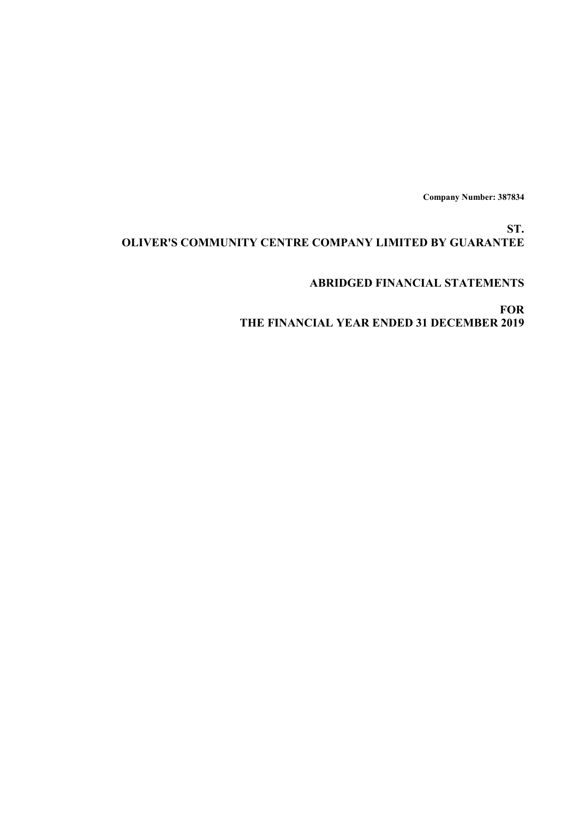**Company Number: 387834**

# **ST. OLIVER'S COMMUNITY CENTRE COMPANY LIMITED BY GUARANTEE**

# **ABRIDGED FINANCIAL STATEMENTS**

 **FOR THE FINANCIAL YEAR ENDED 31 DECEMBER 2019**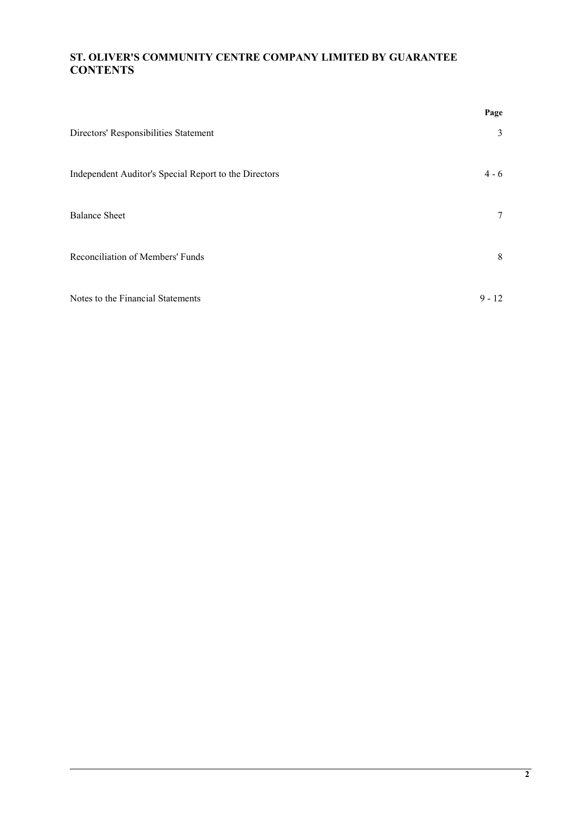# **ST. OLIVER'S COMMUNITY CENTRE COMPANY LIMITED BY GUARANTEE CONTENTS**

|                                                       | Page     |
|-------------------------------------------------------|----------|
| Directors' Responsibilities Statement                 | 3        |
| Independent Auditor's Special Report to the Directors | $4 - 6$  |
| <b>Balance Sheet</b>                                  | 7        |
| Reconciliation of Members' Funds                      | 8        |
| Notes to the Financial Statements                     | $9 - 12$ |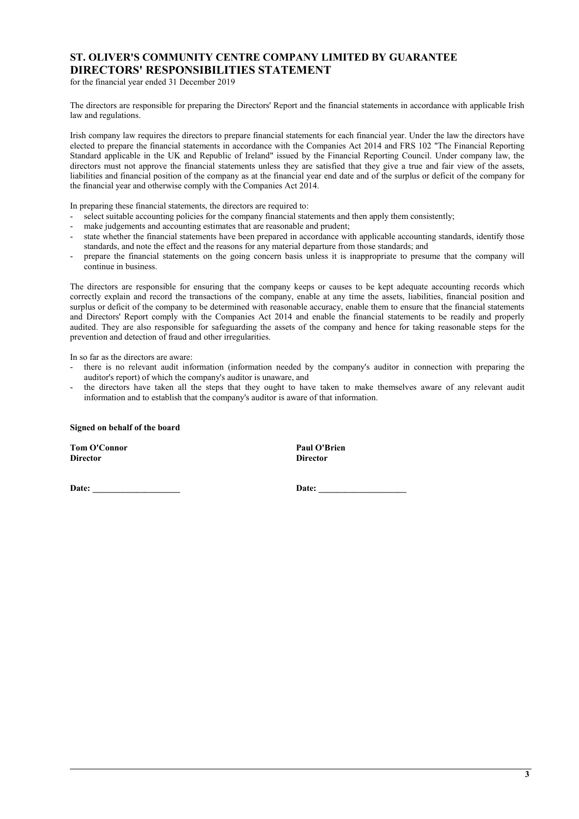# **ST. OLIVER'S COMMUNITY CENTRE COMPANY LIMITED BY GUARANTEE DIRECTORS' RESPONSIBILITIES STATEMENT**

for the financial year ended 31 December 2019

The directors are responsible for preparing the Directors' Report and the financial statements in accordance with applicable Irish law and regulations.

Irish company law requires the directors to prepare financial statements for each financial year. Under the law the directors have elected to prepare the financial statements in accordance with the Companies Act 2014 and FRS 102 "The Financial Reporting Standard applicable in the UK and Republic of Ireland" issued by the Financial Reporting Council. Under company law, the directors must not approve the financial statements unless they are satisfied that they give a true and fair view of the assets, liabilities and financial position of the company as at the financial year end date and of the surplus or deficit of the company for the financial year and otherwise comply with the Companies Act 2014.

In preparing these financial statements, the directors are required to:

- select suitable accounting policies for the company financial statements and then apply them consistently;
- make judgements and accounting estimates that are reasonable and prudent;
- state whether the financial statements have been prepared in accordance with applicable accounting standards, identify those standards, and note the effect and the reasons for any material departure from those standards; and
- prepare the financial statements on the going concern basis unless it is inappropriate to presume that the company will continue in business.

The directors are responsible for ensuring that the company keeps or causes to be kept adequate accounting records which correctly explain and record the transactions of the company, enable at any time the assets, liabilities, financial position and surplus or deficit of the company to be determined with reasonable accuracy, enable them to ensure that the financial statements and Directors' Report comply with the Companies Act 2014 and enable the financial statements to be readily and properly audited. They are also responsible for safeguarding the assets of the company and hence for taking reasonable steps for the prevention and detection of fraud and other irregularities.

In so far as the directors are aware:

- there is no relevant audit information (information needed by the company's auditor in connection with preparing the auditor's report) of which the company's auditor is unaware, and
- the directors have taken all the steps that they ought to have taken to make themselves aware of any relevant audit information and to establish that the company's auditor is aware of that information.

**Signed on behalf of the board** 

**Tom O'Connor** Paul O'Brien **Director Director** 

**Date: \_\_\_\_\_\_\_\_\_\_\_\_\_\_\_\_\_\_\_\_ Date: \_\_\_\_\_\_\_\_\_\_\_\_\_\_\_\_\_\_\_\_**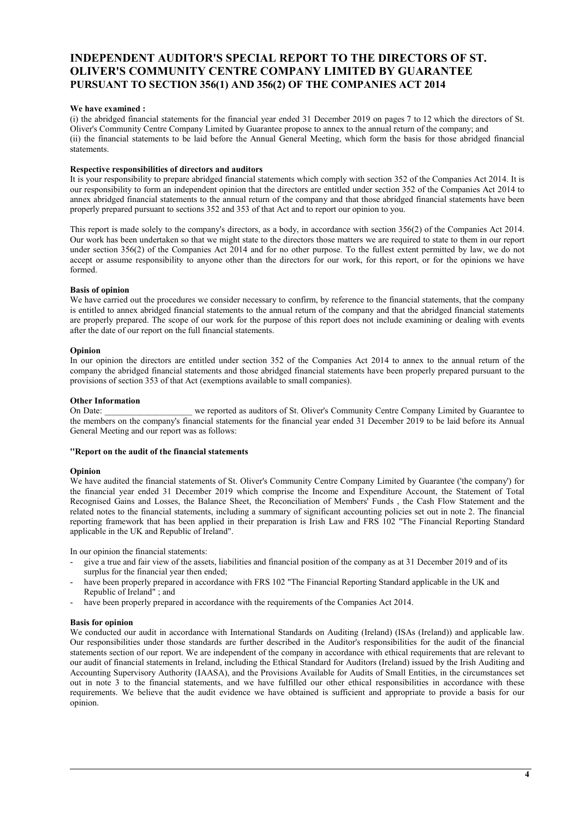# **INDEPENDENT AUDITOR'S SPECIAL REPORT TO THE DIRECTORS OF ST. OLIVER'S COMMUNITY CENTRE COMPANY LIMITED BY GUARANTEE PURSUANT TO SECTION 356(1) AND 356(2) OF THE COMPANIES ACT 2014**

#### **We have examined :**

(i) the abridged financial statements for the financial year ended 31 December 2019 on pages 7 to 12 which the directors of St. Oliver's Community Centre Company Limited by Guarantee propose to annex to the annual return of the company; and (ii) the financial statements to be laid before the Annual General Meeting, which form the basis for those abridged financial statements.

#### **Respective responsibilities of directors and auditors**

It is your responsibility to prepare abridged financial statements which comply with section 352 of the Companies Act 2014. It is our responsibility to form an independent opinion that the directors are entitled under section 352 of the Companies Act 2014 to annex abridged financial statements to the annual return of the company and that those abridged financial statements have been properly prepared pursuant to sections 352 and 353 of that Act and to report our opinion to you.

This report is made solely to the company's directors, as a body, in accordance with section 356(2) of the Companies Act 2014. Our work has been undertaken so that we might state to the directors those matters we are required to state to them in our report under section 356(2) of the Companies Act 2014 and for no other purpose. To the fullest extent permitted by law, we do not accept or assume responsibility to anyone other than the directors for our work, for this report, or for the opinions we have formed.

#### **Basis of opinion**

We have carried out the procedures we consider necessary to confirm, by reference to the financial statements, that the company is entitled to annex abridged financial statements to the annual return of the company and that the abridged financial statements are properly prepared. The scope of our work for the purpose of this report does not include examining or dealing with events after the date of our report on the full financial statements.

#### **Opinion**

In our opinion the directors are entitled under section 352 of the Companies Act 2014 to annex to the annual return of the company the abridged financial statements and those abridged financial statements have been properly prepared pursuant to the provisions of section 353 of that Act (exemptions available to small companies). Ĩ

# **Other Information**

we reported as auditors of St. Oliver's Community Centre Company Limited by Guarantee to the members on the company's financial statements for the financial year ended 31 December 2019 to be laid before its Annual General Meeting and our report was as follows:

#### **''Report on the audit of the financial statements**

#### **Opinion**

We have audited the financial statements of St. Oliver's Community Centre Company Limited by Guarantee ('the company') for the financial year ended 31 December 2019 which comprise the Income and Expenditure Account, the Statement of Total Recognised Gains and Losses, the Balance Sheet, the Reconciliation of Members' Funds , the Cash Flow Statement and the related notes to the financial statements, including a summary of significant accounting policies set out in note 2. The financial reporting framework that has been applied in their preparation is Irish Law and FRS 102 "The Financial Reporting Standard applicable in the UK and Republic of Ireland".

In our opinion the financial statements:

- give a true and fair view of the assets, liabilities and financial position of the company as at 31 December 2019 and of its surplus for the financial year then ended;
- have been properly prepared in accordance with FRS 102 "The Financial Reporting Standard applicable in the UK and Republic of Ireland" ; and
- have been properly prepared in accordance with the requirements of the Companies Act 2014.

#### **Basis for opinion**

We conducted our audit in accordance with International Standards on Auditing (Ireland) (ISAs (Ireland)) and applicable law. Our responsibilities under those standards are further described in the Auditor's responsibilities for the audit of the financial statements section of our report. We are independent of the company in accordance with ethical requirements that are relevant to our audit of financial statements in Ireland, including the Ethical Standard for Auditors (Ireland) issued by the Irish Auditing and Accounting Supervisory Authority (IAASA), and the Provisions Available for Audits of Small Entities, in the circumstances set out in note 3 to the financial statements, and we have fulfilled our other ethical responsibilities in accordance with these requirements. We believe that the audit evidence we have obtained is sufficient and appropriate to provide a basis for our opinion.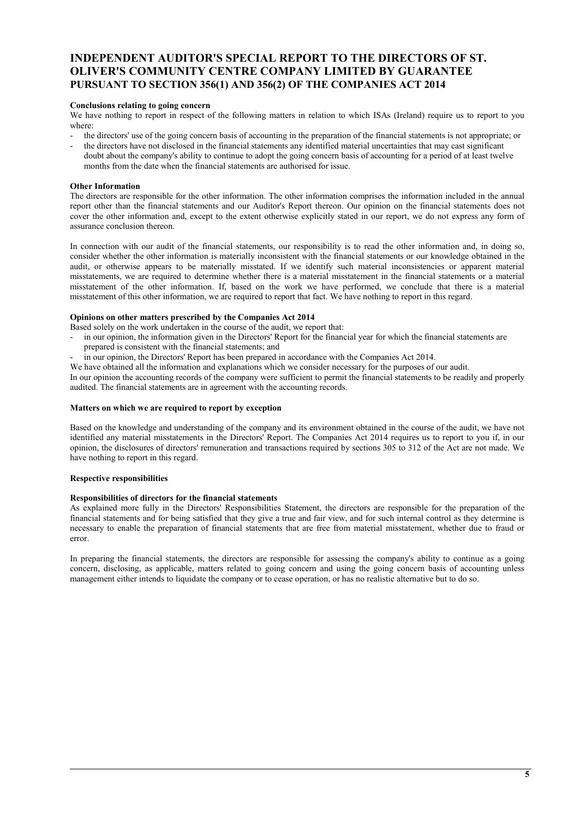# **INDEPENDENT AUDITOR'S SPECIAL REPORT TO THE DIRECTORS OF ST. OLIVER'S COMMUNITY CENTRE COMPANY LIMITED BY GUARANTEE PURSUANT TO SECTION 356(1) AND 356(2) OF THE COMPANIES ACT 2014**

#### **Conclusions relating to going concern**

We have nothing to report in respect of the following matters in relation to which ISAs (Ireland) require us to report to you where:

- the directors' use of the going concern basis of accounting in the preparation of the financial statements is not appropriate; or
- the directors have not disclosed in the financial statements any identified material uncertainties that may cast significant doubt about the company's ability to continue to adopt the going concern basis of accounting for a period of at least twelve months from the date when the financial statements are authorised for issue.

#### **Other Information**

The directors are responsible for the other information. The other information comprises the information included in the annual report other than the financial statements and our Auditor's Report thereon. Our opinion on the financial statements does not cover the other information and, except to the extent otherwise explicitly stated in our report, we do not express any form of assurance conclusion thereon.

In connection with our audit of the financial statements, our responsibility is to read the other information and, in doing so, consider whether the other information is materially inconsistent with the financial statements or our knowledge obtained in the audit, or otherwise appears to be materially misstated. If we identify such material inconsistencies or apparent material misstatements, we are required to determine whether there is a material misstatement in the financial statements or a material misstatement of the other information. If, based on the work we have performed, we conclude that there is a material misstatement of this other information, we are required to report that fact. We have nothing to report in this regard.

#### **Opinions on other matters prescribed by the Companies Act 2014**

Based solely on the work undertaken in the course of the audit, we report that:

- in our opinion, the information given in the Directors' Report for the financial year for which the financial statements are prepared is consistent with the financial statements; and
- in our opinion, the Directors' Report has been prepared in accordance with the Companies Act 2014.
- We have obtained all the information and explanations which we consider necessary for the purposes of our audit.

In our opinion the accounting records of the company were sufficient to permit the financial statements to be readily and properly audited. The financial statements are in agreement with the accounting records.

#### **Matters on which we are required to report by exception**

Based on the knowledge and understanding of the company and its environment obtained in the course of the audit, we have not identified any material misstatements in the Directors' Report. The Companies Act 2014 requires us to report to you if, in our opinion, the disclosures of directors' remuneration and transactions required by sections 305 to 312 of the Act are not made. We have nothing to report in this regard.

#### **Respective responsibilities**

#### **Responsibilities of directors for the financial statements**

As explained more fully in the Directors' Responsibilities Statement, the directors are responsible for the preparation of the financial statements and for being satisfied that they give a true and fair view, and for such internal control as they determine is necessary to enable the preparation of financial statements that are free from material misstatement, whether due to fraud or error.

In preparing the financial statements, the directors are responsible for assessing the company's ability to continue as a going concern, disclosing, as applicable, matters related to going concern and using the going concern basis of accounting unless management either intends to liquidate the company or to cease operation, or has no realistic alternative but to do so.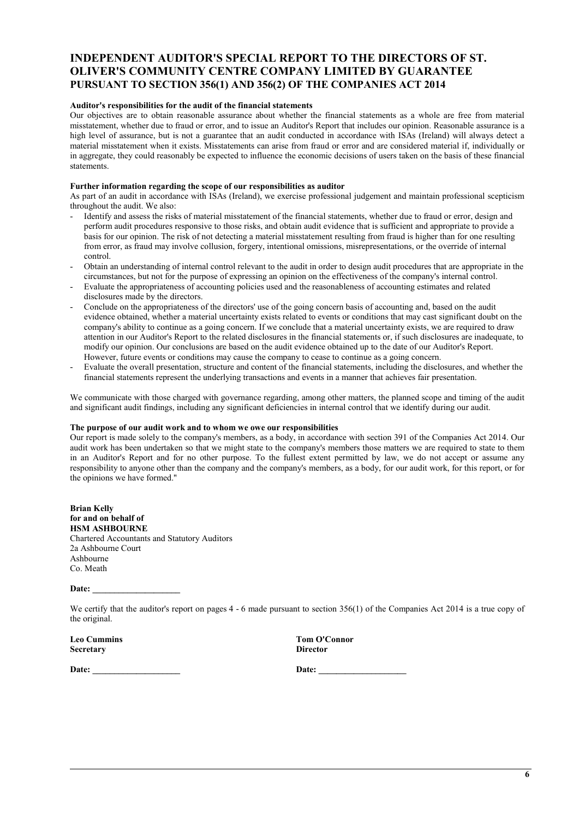# **INDEPENDENT AUDITOR'S SPECIAL REPORT TO THE DIRECTORS OF ST. OLIVER'S COMMUNITY CENTRE COMPANY LIMITED BY GUARANTEE PURSUANT TO SECTION 356(1) AND 356(2) OF THE COMPANIES ACT 2014**

#### **Auditor's responsibilities for the audit of the financial statements**

Our objectives are to obtain reasonable assurance about whether the financial statements as a whole are free from material misstatement, whether due to fraud or error, and to issue an Auditor's Report that includes our opinion. Reasonable assurance is a high level of assurance, but is not a guarantee that an audit conducted in accordance with ISAs (Ireland) will always detect a material misstatement when it exists. Misstatements can arise from fraud or error and are considered material if, individually or in aggregate, they could reasonably be expected to influence the economic decisions of users taken on the basis of these financial statements.

### **Further information regarding the scope of our responsibilities as auditor**

As part of an audit in accordance with ISAs (Ireland), we exercise professional judgement and maintain professional scepticism throughout the audit. We also:

- Identify and assess the risks of material misstatement of the financial statements, whether due to fraud or error, design and perform audit procedures responsive to those risks, and obtain audit evidence that is sufficient and appropriate to provide a basis for our opinion. The risk of not detecting a material misstatement resulting from fraud is higher than for one resulting from error, as fraud may involve collusion, forgery, intentional omissions, misrepresentations, or the override of internal control.
- Obtain an understanding of internal control relevant to the audit in order to design audit procedures that are appropriate in the circumstances, but not for the purpose of expressing an opinion on the effectiveness of the company's internal control.
- Evaluate the appropriateness of accounting policies used and the reasonableness of accounting estimates and related disclosures made by the directors.
- Conclude on the appropriateness of the directors' use of the going concern basis of accounting and, based on the audit evidence obtained, whether a material uncertainty exists related to events or conditions that may cast significant doubt on the company's ability to continue as a going concern. If we conclude that a material uncertainty exists, we are required to draw attention in our Auditor's Report to the related disclosures in the financial statements or, if such disclosures are inadequate, to modify our opinion. Our conclusions are based on the audit evidence obtained up to the date of our Auditor's Report. However, future events or conditions may cause the company to cease to continue as a going concern.
- Evaluate the overall presentation, structure and content of the financial statements, including the disclosures, and whether the financial statements represent the underlying transactions and events in a manner that achieves fair presentation.

We communicate with those charged with governance regarding, among other matters, the planned scope and timing of the audit and significant audit findings, including any significant deficiencies in internal control that we identify during our audit.

#### **The purpose of our audit work and to whom we owe our responsibilities**

Our report is made solely to the company's members, as a body, in accordance with section 391 of the Companies Act 2014. Our audit work has been undertaken so that we might state to the company's members those matters we are required to state to them in an Auditor's Report and for no other purpose. To the fullest extent permitted by law, we do not accept or assume any responsibility to anyone other than the company and the company's members, as a body, for our audit work, for this report, or for the opinions we have formed.''

### **Brian Kelly for and on behalf of HSM ASHBOURNE**

Chartered Accountants and Statutory Auditors 2a Ashbourne Court Ashbourne Co. Meath

#### Date:

We certify that the auditor's report on pages 4 - 6 made pursuant to section 356(1) of the Companies Act 2014 is a true copy of the original.

**Leo Cummins Tom O'Connor Secretary Director** 

Date:

| Date: |  |
|-------|--|
|       |  |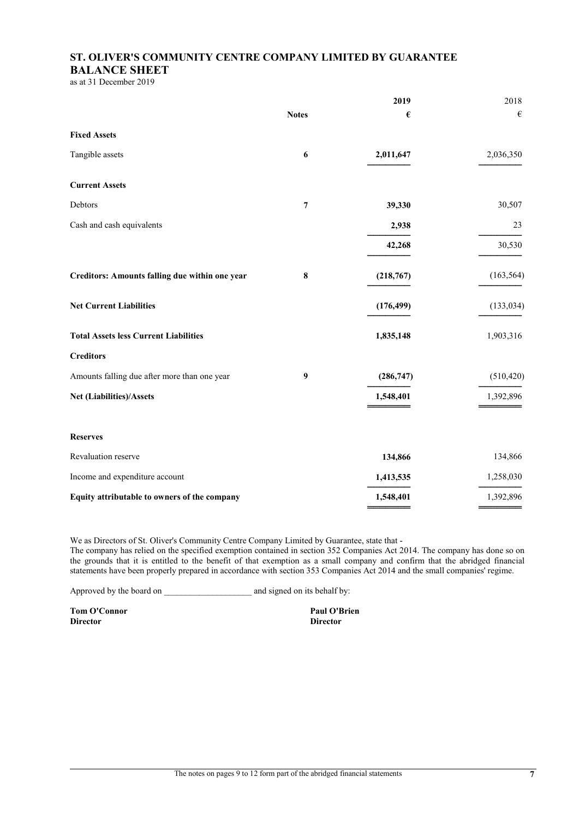# **ST. OLIVER'S COMMUNITY CENTRE COMPANY LIMITED BY GUARANTEE BALANCE SHEET**

as at 31 December 2019

|                                                |              | 2019       | 2018       |
|------------------------------------------------|--------------|------------|------------|
|                                                | <b>Notes</b> | $\epsilon$ | $\epsilon$ |
| <b>Fixed Assets</b>                            |              |            |            |
| Tangible assets                                | 6            | 2,011,647  | 2,036,350  |
| <b>Current Assets</b>                          |              |            |            |
| Debtors                                        | 7            | 39,330     | 30,507     |
| Cash and cash equivalents                      |              | 2,938      | 23         |
|                                                |              | 42,268     | 30,530     |
| Creditors: Amounts falling due within one year | 8            | (218, 767) | (163, 564) |
| <b>Net Current Liabilities</b>                 |              | (176, 499) | (133, 034) |
| <b>Total Assets less Current Liabilities</b>   |              | 1,835,148  | 1,903,316  |
| <b>Creditors</b>                               |              |            |            |
| Amounts falling due after more than one year   | 9            | (286,747)  | (510, 420) |
| Net (Liabilities)/Assets                       |              | 1,548,401  | 1,392,896  |
| <b>Reserves</b>                                |              |            |            |
| Revaluation reserve                            |              | 134,866    | 134,866    |
| Income and expenditure account                 |              | 1,413,535  | 1,258,030  |
| Equity attributable to owners of the company   |              | 1,548,401  | 1,392,896  |

We as Directors of St. Oliver's Community Centre Company Limited by Guarantee, state that -

The company has relied on the specified exemption contained in section 352 Companies Act 2014. The company has done so on the grounds that it is entitled to the benefit of that exemption as a small company and confirm that the abridged financial statements have been properly prepared in accordance with section 353 Companies Act 2014 and the small companies' regime.

Approved by the board on \_\_\_\_\_\_\_\_\_\_\_\_\_\_\_\_\_\_\_\_ and signed on its behalf by:

| Tom O'Connor | Paul O'Brien    |
|--------------|-----------------|
| Director     | <b>Director</b> |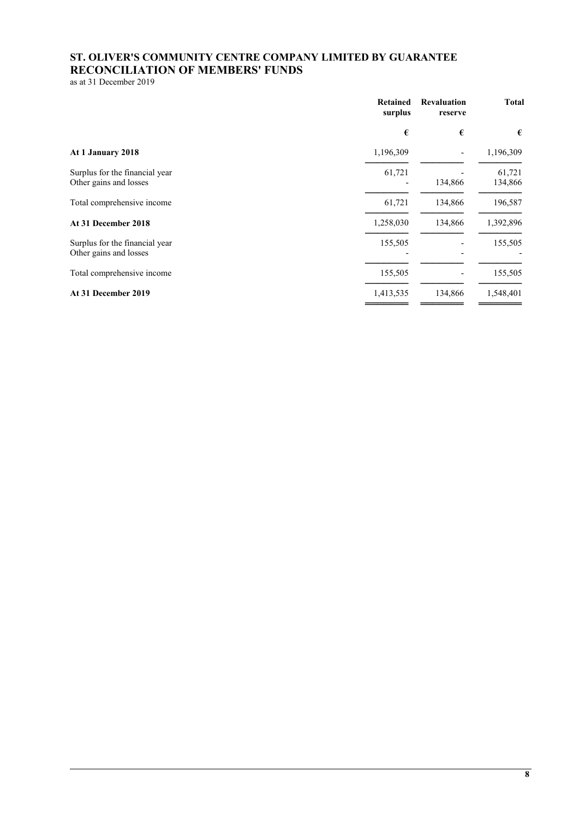# **ST. OLIVER'S COMMUNITY CENTRE COMPANY LIMITED BY GUARANTEE RECONCILIATION OF MEMBERS' FUNDS**

as at 31 December 2019

|                                                          | <b>Retained</b><br>surplus | <b>Revaluation</b><br>reserve | <b>Total</b>      |
|----------------------------------------------------------|----------------------------|-------------------------------|-------------------|
|                                                          | €                          | €                             | €                 |
| At 1 January 2018                                        | 1,196,309                  |                               | 1,196,309         |
| Surplus for the financial year<br>Other gains and losses | 61,721                     | 134,866                       | 61,721<br>134,866 |
| Total comprehensive income                               | 61,721                     | 134,866                       | 196,587           |
| At 31 December 2018                                      | 1,258,030                  | 134,866                       | 1,392,896         |
| Surplus for the financial year<br>Other gains and losses | 155,505                    |                               | 155,505           |
| Total comprehensive income                               | 155,505                    |                               | 155,505           |
| At 31 December 2019                                      | 1,413,535                  | 134,866                       | 1,548,401         |
|                                                          |                            |                               |                   |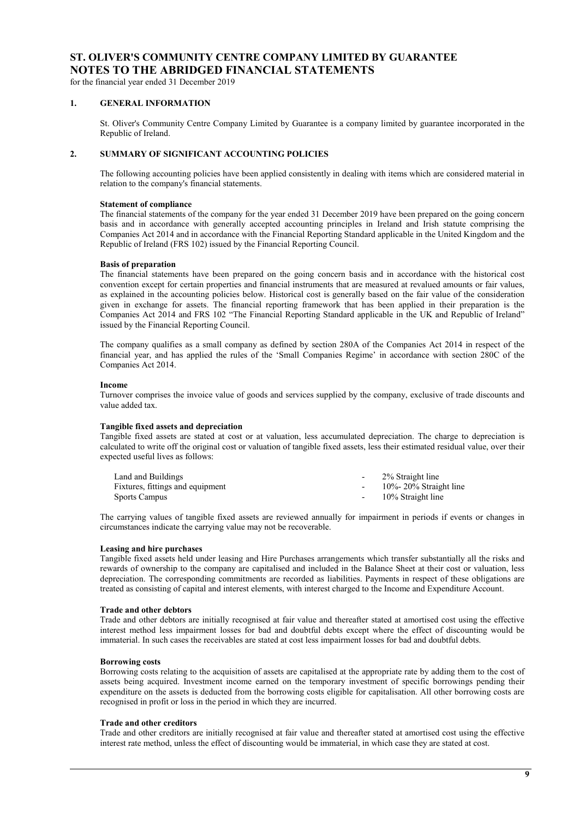### **ST. OLIVER'S COMMUNITY CENTRE COMPANY LIMITED BY GUARANTEE NOTES TO THE ABRIDGED FINANCIAL STATEMENTS**

for the financial year ended 31 December 2019

#### **1. GENERAL INFORMATION**

 St. Oliver's Community Centre Company Limited by Guarantee is a company limited by guarantee incorporated in the Republic of Ireland.

#### **2. SUMMARY OF SIGNIFICANT ACCOUNTING POLICIES**

 The following accounting policies have been applied consistently in dealing with items which are considered material in relation to the company's financial statements.

#### **Statement of compliance**

 The financial statements of the company for the year ended 31 December 2019 have been prepared on the going concern basis and in accordance with generally accepted accounting principles in Ireland and Irish statute comprising the Companies Act 2014 and in accordance with the Financial Reporting Standard applicable in the United Kingdom and the Republic of Ireland (FRS 102) issued by the Financial Reporting Council.

#### **Basis of preparation**

 The financial statements have been prepared on the going concern basis and in accordance with the historical cost convention except for certain properties and financial instruments that are measured at revalued amounts or fair values, as explained in the accounting policies below. Historical cost is generally based on the fair value of the consideration given in exchange for assets. The financial reporting framework that has been applied in their preparation is the Companies Act 2014 and FRS 102 "The Financial Reporting Standard applicable in the UK and Republic of Ireland" issued by the Financial Reporting Council.

 The company qualifies as a small company as defined by section 280A of the Companies Act 2014 in respect of the financial year, and has applied the rules of the 'Small Companies Regime' in accordance with section 280C of the Companies Act 2014.

#### **Income**

 Turnover comprises the invoice value of goods and services supplied by the company, exclusive of trade discounts and value added tax.

#### **Tangible fixed assets and depreciation**

 Tangible fixed assets are stated at cost or at valuation, less accumulated depreciation. The charge to depreciation is calculated to write off the original cost or valuation of tangible fixed assets, less their estimated residual value, over their expected useful lives as follows:

| Land and Buildings               | - 2% Straight line          |
|----------------------------------|-----------------------------|
| Fixtures, fittings and equipment | $-10\%$ - 20% Straight line |
| <b>Sports Campus</b>             | 10% Straight line           |

 The carrying values of tangible fixed assets are reviewed annually for impairment in periods if events or changes in circumstances indicate the carrying value may not be recoverable.

#### **Leasing and hire purchases**

 Tangible fixed assets held under leasing and Hire Purchases arrangements which transfer substantially all the risks and rewards of ownership to the company are capitalised and included in the Balance Sheet at their cost or valuation, less depreciation. The corresponding commitments are recorded as liabilities. Payments in respect of these obligations are treated as consisting of capital and interest elements, with interest charged to the Income and Expenditure Account.

#### **Trade and other debtors**

Trade and other debtors are initially recognised at fair value and thereafter stated at amortised cost using the effective interest method less impairment losses for bad and doubtful debts except where the effect of discounting would be immaterial. In such cases the receivables are stated at cost less impairment losses for bad and doubtful debts.

#### **Borrowing costs**

Borrowing costs relating to the acquisition of assets are capitalised at the appropriate rate by adding them to the cost of assets being acquired. Investment income earned on the temporary investment of specific borrowings pending their expenditure on the assets is deducted from the borrowing costs eligible for capitalisation. All other borrowing costs are recognised in profit or loss in the period in which they are incurred.

#### **Trade and other creditors**

Trade and other creditors are initially recognised at fair value and thereafter stated at amortised cost using the effective interest rate method, unless the effect of discounting would be immaterial, in which case they are stated at cost.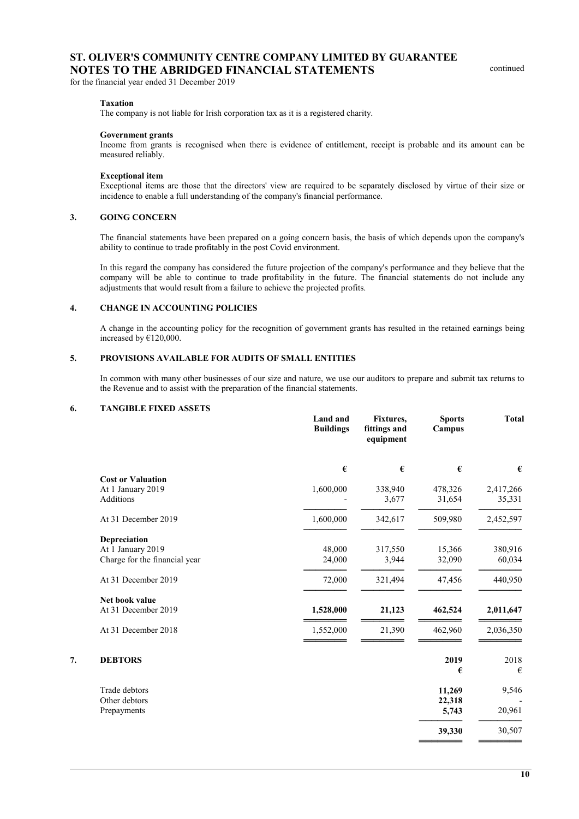# **ST. OLIVER'S COMMUNITY CENTRE COMPANY LIMITED BY GUARANTEE NOTES TO THE ABRIDGED FINANCIAL STATEMENTS** continued

for the financial year ended 31 December 2019

#### **Taxation**

The company is not liable for Irish corporation tax as it is a registered charity.

#### **Government grants**

 Income from grants is recognised when there is evidence of entitlement, receipt is probable and its amount can be measured reliably.

#### **Exceptional item**

 Exceptional items are those that the directors' view are required to be separately disclosed by virtue of their size or incidence to enable a full understanding of the company's financial performance.

#### **3. GOING CONCERN**

The financial statements have been prepared on a going concern basis, the basis of which depends upon the company's ability to continue to trade profitably in the post Covid environment.

In this regard the company has considered the future projection of the company's performance and they believe that the company will be able to continue to trade profitability in the future. The financial statements do not include any adjustments that would result from a failure to achieve the projected profits.

#### **4. CHANGE IN ACCOUNTING POLICIES**

 A change in the accounting policy for the recognition of government grants has resulted in the retained earnings being increased by €120,000.

#### **5. PROVISIONS AVAILABLE FOR AUDITS OF SMALL ENTITIES**

 In common with many other businesses of our size and nature, we use our auditors to prepare and submit tax returns to the Revenue and to assist with the preparation of the financial statements.

#### **6. TANGIBLE FIXED ASSETS**

|    |                               | <b>Land and</b><br><b>Buildings</b> | Fixtures,<br>fittings and<br>equipment | <b>Sports</b><br>Campus | <b>Total</b> |
|----|-------------------------------|-------------------------------------|----------------------------------------|-------------------------|--------------|
|    |                               | $\epsilon$                          | $\pmb{\epsilon}$                       | $\pmb{\epsilon}$        | $\epsilon$   |
|    | <b>Cost or Valuation</b>      |                                     |                                        |                         |              |
|    | At 1 January 2019             | 1,600,000                           | 338,940                                | 478,326                 | 2,417,266    |
|    | Additions                     |                                     | 3,677                                  | 31,654                  | 35,331       |
|    | At 31 December 2019           | 1,600,000                           | 342,617                                | 509,980                 | 2,452,597    |
|    | Depreciation                  |                                     |                                        |                         |              |
|    | At 1 January 2019             | 48,000                              | 317,550                                | 15,366                  | 380,916      |
|    | Charge for the financial year | 24,000                              | 3,944                                  | 32,090                  | 60,034       |
|    | At 31 December 2019           | 72,000                              | 321,494                                | 47,456                  | 440,950      |
|    | Net book value                |                                     |                                        |                         |              |
|    | At 31 December 2019           | 1,528,000                           | 21,123                                 | 462,524                 | 2,011,647    |
|    | At 31 December 2018           | 1,552,000                           | 21,390                                 | 462,960                 | 2,036,350    |
| 7. | <b>DEBTORS</b>                |                                     |                                        | 2019                    | 2018         |
|    |                               |                                     |                                        | €                       | €            |
|    | Trade debtors                 |                                     |                                        | 11,269                  | 9,546        |
|    | Other debtors                 |                                     |                                        | 22,318                  |              |
|    | Prepayments                   |                                     |                                        | 5,743                   | 20,961       |
|    |                               |                                     |                                        | 39,330                  | 30,507       |
|    |                               |                                     |                                        |                         |              |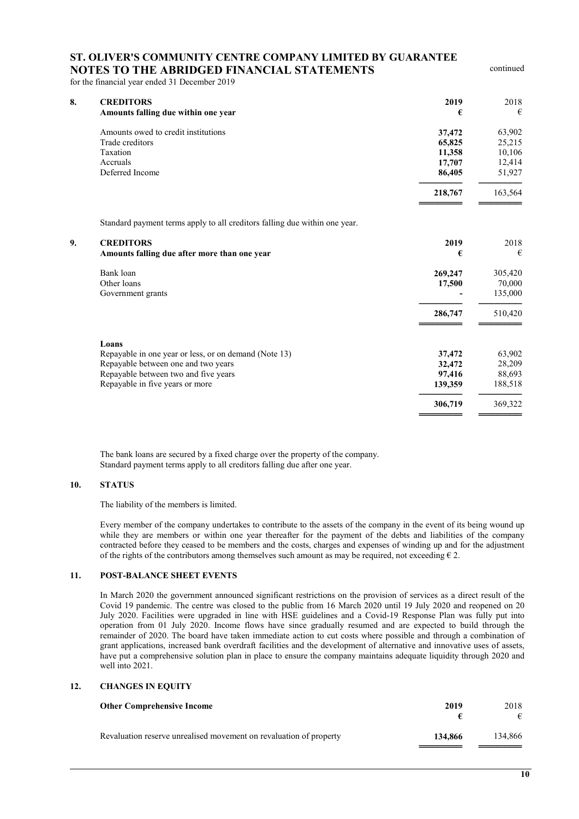### **ST. OLIVER'S COMMUNITY CENTRE COMPANY LIMITED BY GUARANTEE NOTES TO THE ABRIDGED FINANCIAL STATEMENTS** continued

for the financial year ended 31 December 2019

| 8. | <b>CREDITORS</b><br>Amounts falling due within one year                    | 2019<br>€ | 2018<br>€ |
|----|----------------------------------------------------------------------------|-----------|-----------|
|    | Amounts owed to credit institutions                                        | 37,472    | 63,902    |
|    | Trade creditors                                                            | 65,825    | 25,215    |
|    | Taxation                                                                   | 11,358    | 10,106    |
|    | Accruals                                                                   | 17,707    | 12,414    |
|    | Deferred Income                                                            | 86,405    | 51,927    |
|    |                                                                            | 218,767   | 163,564   |
|    | Standard payment terms apply to all creditors falling due within one year. |           |           |
| 9. | <b>CREDITORS</b>                                                           | 2019      | 2018      |
|    | Amounts falling due after more than one year                               | €         | €         |
|    | Bank loan                                                                  | 269,247   | 305,420   |
|    | Other loans                                                                | 17,500    | 70,000    |
|    | Government grants                                                          |           | 135,000   |
|    |                                                                            | 286,747   | 510,420   |
|    | Loans                                                                      |           |           |
|    | Repayable in one year or less, or on demand (Note 13)                      | 37,472    | 63,902    |
|    | Repayable between one and two years                                        | 32,472    | 28,209    |
|    | Repayable between two and five years                                       | 97,416    | 88,693    |
|    | Repayable in five years or more                                            | 139,359   | 188,518   |
|    |                                                                            | 306,719   | 369,322   |

 The bank loans are secured by a fixed charge over the property of the company. Standard payment terms apply to all creditors falling due after one year.

### **10. STATUS**

The liability of the members is limited.

Every member of the company undertakes to contribute to the assets of the company in the event of its being wound up while they are members or within one year thereafter for the payment of the debts and liabilities of the company contracted before they ceased to be members and the costs, charges and expenses of winding up and for the adjustment of the rights of the contributors among themselves such amount as may be required, not exceeding  $\epsilon$  2.

#### **11. POST-BALANCE SHEET EVENTS**

 In March 2020 the government announced significant restrictions on the provision of services as a direct result of the Covid 19 pandemic. The centre was closed to the public from 16 March 2020 until 19 July 2020 and reopened on 20 July 2020. Facilities were upgraded in line with HSE guidelines and a Covid-19 Response Plan was fully put into operation from 01 July 2020. Income flows have since gradually resumed and are expected to build through the remainder of 2020. The board have taken immediate action to cut costs where possible and through a combination of grant applications, increased bank overdraft facilities and the development of alternative and innovative uses of assets, have put a comprehensive solution plan in place to ensure the company maintains adequate liquidity through 2020 and well into 2021.

### **12. CHANGES IN EQUITY**

| <b>Other Comprehensive Income</b>                                  | 2019    | 2018    |
|--------------------------------------------------------------------|---------|---------|
| Revaluation reserve unrealised movement on revaluation of property | 134.866 | 134,866 |